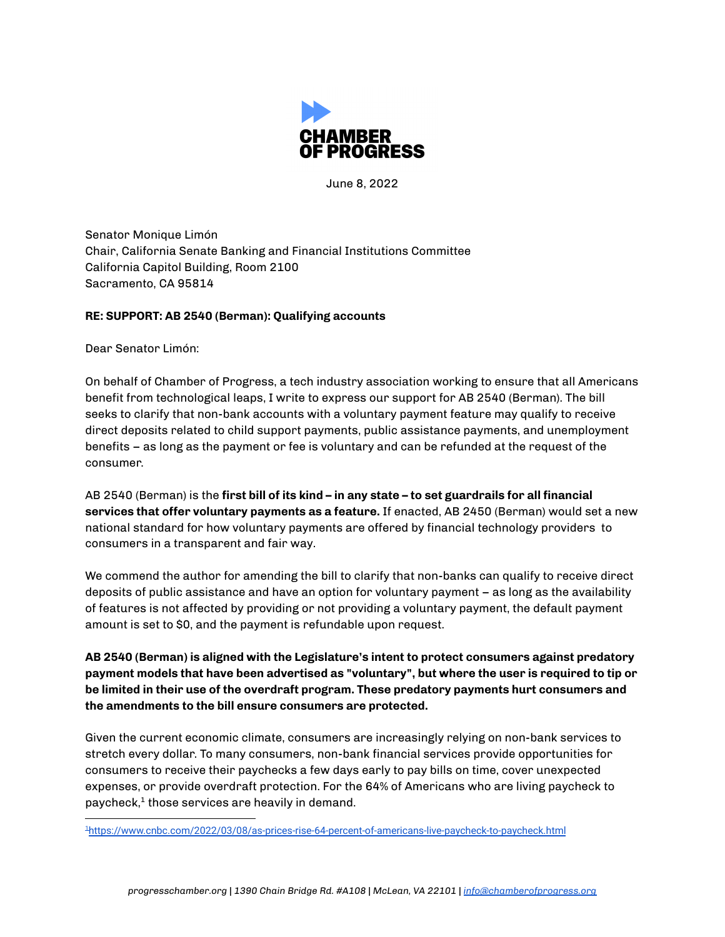

June 8, 2022

Senator Monique Limón Chair, California Senate Banking and Financial Institutions Committee California Capitol Building, Room 2100 Sacramento, CA 95814

## **RE: SUPPORT: AB 2540 (Berman): Qualifying accounts**

Dear Senator Limón:

On behalf of Chamber of Progress, a tech industry association working to ensure that all Americans benefit from technological leaps, I write to express our support for AB 2540 (Berman). The bill seeks to clarify that non-bank accounts with a voluntary payment feature may qualify to receive direct deposits related to child support payments, public assistance payments, and unemployment benefits – as long as the payment or fee is voluntary and can be refunded at the request of the consumer.

AB 2540 (Berman) is the **first bill of its kind – in any state – to set guardrails for all financial services that offer voluntary payments as a feature.** If enacted, AB 2450 (Berman) would set a new national standard for how voluntary payments are offered by financial technology providers to consumers in a transparent and fair way.

We commend the author for amending the bill to clarify that non-banks can qualify to receive direct deposits of public assistance and have an option for voluntary payment – as long as the availability of features is not affected by providing or not providing a voluntary payment, the default payment amount is set to \$0, and the payment is refundable upon request.

**AB 2540 (Berman) is aligned with the Legislature's intent to protect consumers against predatory payment models that have been advertised as "voluntary", but where the user is required to tip or be limited in their use of the overdraft program. These predatory payments hurt consumers and the amendments to the bill ensure consumers are protected.**

Given the current economic climate, consumers are increasingly relying on non-bank services to stretch every dollar. To many consumers, non-bank financial services provide opportunities for consumers to receive their paychecks a few days early to pay bills on time, cover unexpected expenses, or provide overdraft protection. For the 64% of Americans who are living paycheck to paycheck, 1 those services are heavily in demand.

<sup>1</sup><https://www.cnbc.com/2022/03/08/as-prices-rise-64-percent-of-americans-live-paycheck-to-paycheck.html>